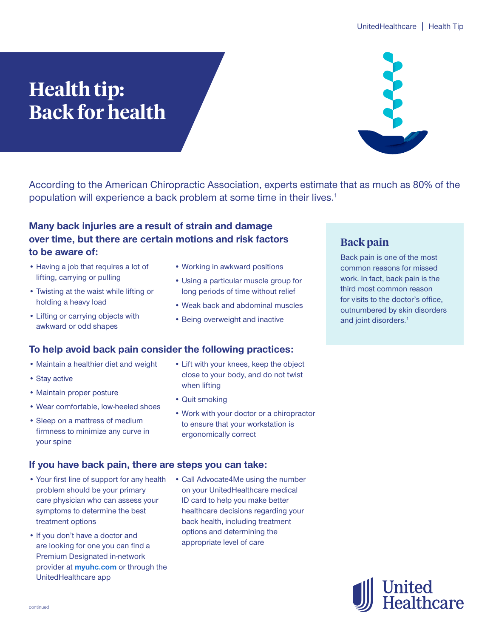# **Health tip: Back for health**



According to the American Chiropractic Association, experts estimate that as much as 80% of the population will experience a back problem at some time in their lives.<sup>1</sup>

# **Many back injuries are a result of strain and damage over time, but there are certain motions and risk factors to be aware of:**

- Having a job that requires a lot of lifting, carrying or pulling
- Twisting at the waist while lifting or holding a heavy load
- Lifting or carrying objects with awkward or odd shapes
- Working in awkward positions
- Using a particular muscle group for long periods of time without relief
- Weak back and abdominal muscles
- Being overweight and inactive

# **To help avoid back pain consider the following practices:**

- Maintain a healthier diet and weight
- Stay active
- Maintain proper posture
- Wear comfortable, low-heeled shoes
- Sleep on a mattress of medium firmness to minimize any curve in your spine

## **If you have back pain, there are steps you can take:**

- Your first line of support for any health problem should be your primary care physician who can assess your symptoms to determine the best treatment options
- If you don't have a doctor and are looking for one you can find a Premium Designated in-network provider at **[myuhc.com](https://prod.member.myuhc.com/content/myuhc/en/public/member-ei-login.html)** or through the UnitedHealthcare app
- Lift with your knees, keep the object close to your body, and do not twist when lifting
- Quit smoking
- Work with your doctor or a chiropractor to ensure that your workstation is ergonomically correct
- Call Advocate4Me using the number on your UnitedHealthcare medical ID card to help you make better healthcare decisions regarding your back health, including treatment options and determining the appropriate level of care

# **Back pain**

Back pain is one of the most common reasons for missed work. In fact, back pain is the third most common reason for visits to the doctor's office, outnumbered by skin disorders and joint disorders.<sup>1</sup>